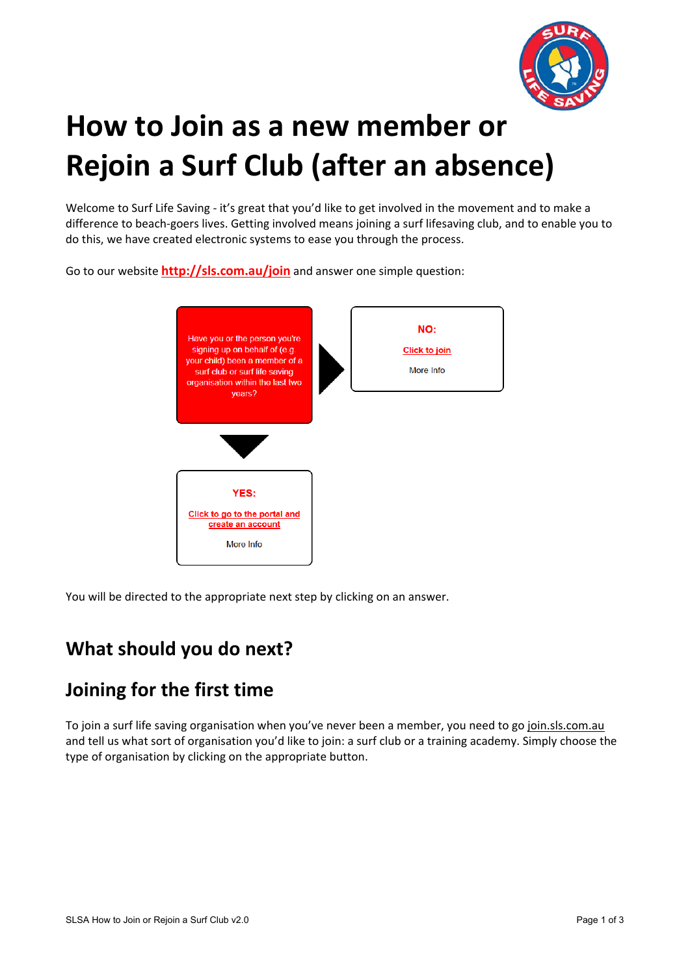

# **How to Join as a new member or Rejoin a Surf Club (after an absence)**

Welcome to Surf Life Saving - it's great that you'd like to get involved in the movement and to make a difference to beach‐goers lives. Getting involved means joining a surf lifesaving club, and to enable you to do this, we have created electronic systems to ease you through the process.

Go to our website **http://sls.com.au/join** and answer one simple question:



You will be directed to the appropriate next step by clicking on an answer.

# **What should you do next?**

### **Joining for the first time**

To join a surf life saving organisation when you've never been a member, you need to go join.sls.com.au and tell us what sort of organisation you'd like to join: a surf club or a training academy. Simply choose the type of organisation by clicking on the appropriate button.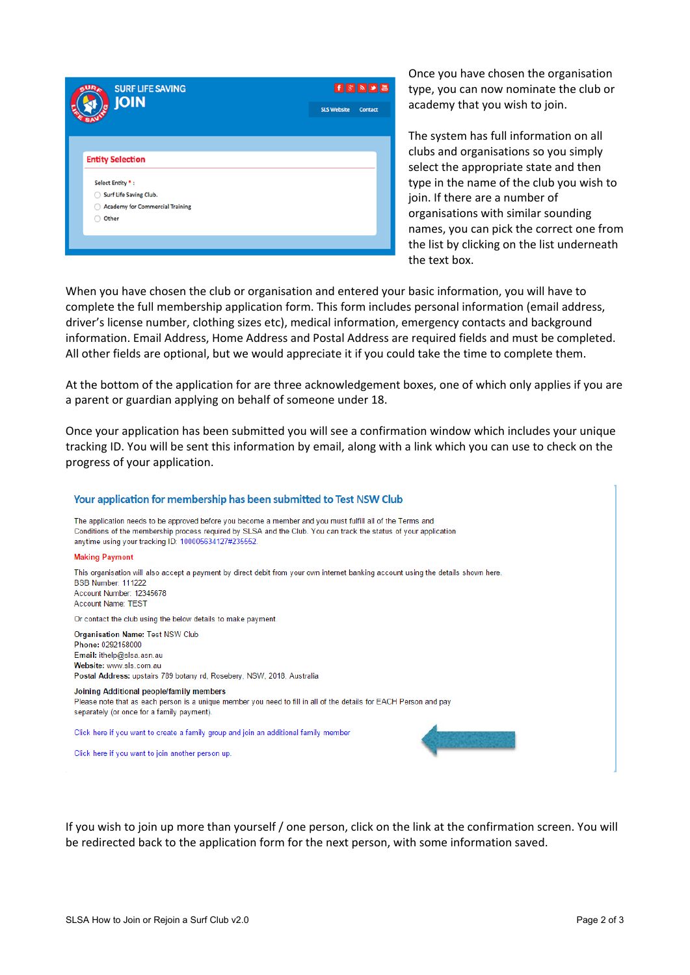

Once you have chosen the organisation type, you can now nominate the club or academy that you wish to join.

The system has full information on all clubs and organisations so you simply select the appropriate state and then type in the name of the club you wish to join. If there are a number of organisations with similar sounding names, you can pick the correct one from the list by clicking on the list underneath the text box.

When you have chosen the club or organisation and entered your basic information, you will have to complete the full membership application form. This form includes personal information (email address, driver's license number, clothing sizes etc), medical information, emergency contacts and background information. Email Address, Home Address and Postal Address are required fields and must be completed. All other fields are optional, but we would appreciate it if you could take the time to complete them.

At the bottom of the application for are three acknowledgement boxes, one of which only applies if you are a parent or guardian applying on behalf of someone under 18.

Once your application has been submitted you will see a confirmation window which includes your unique tracking ID. You will be sent this information by email, along with a link which you can use to check on the progress of your application.

#### Your application for membership has been submitted to Test NSW Club The application needs to be approved before vou become a member and vou must fulfill all of the Terms and Conditions of the membership process required by SLSA and the Club. You can track the status of your application anytime using your tracking ID: 100005634127#235552. **Making Payment** This organisation will also accept a payment by direct debit from your own internet banking account using the details shown here. BSB Number: 111222 Account Number: 12345678 Account Name: TEST Or contact the club using the below details to make payment **Organisation Name: Test NSW Club** Phone: 0292158000 Email: ithelp@slsa.asn.au Website: www.sls.com.au Postal Address: upstairs 789 botany rd, Rosebery, NSW, 2018, Australia Joining Additional people/family members Please note that as each person is a unique member you need to fill in all of the details for EACH Person and pay separately (or once for a family payment). Click here if you want to create a family group and join an additional family member Click here if you want to join another person up.

If you wish to join up more than yourself / one person, click on the link at the confirmation screen. You will be redirected back to the application form for the next person, with some information saved.